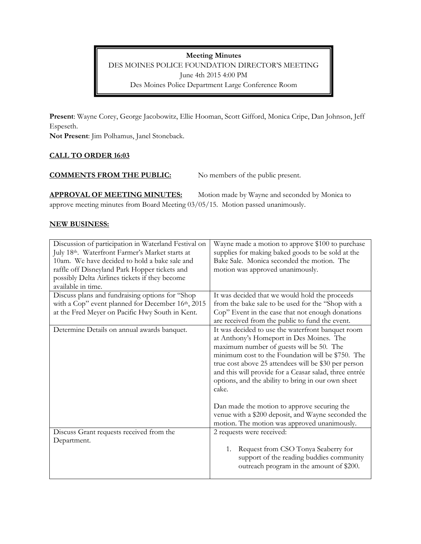**Meeting Minutes**

DES MOINES POLICE FOUNDATION DIRECTOR'S MEETING June 4th 2015 4:00 PM Des Moines Police Department Large Conference Room

**Present**: Wayne Corey, George Jacobowitz, Ellie Hooman, Scott Gifford, Monica Cripe, Dan Johnson, Jeff Espeseth.

**Not Present**: Jim Polhamus, Janel Stoneback.

# **CALL TO ORDER 16:03**

## **COMMENTS FROM THE PUBLIC:** No members of the public present.

**APPROVAL OF MEETING MINUTES:** Motion made by Wayne and seconded by Monica to approve meeting minutes from Board Meeting 03/05/15. Motion passed unanimously.

## **NEW BUSINESS:**

| Discussion of participation in Waterland Festival on<br>July 18th. Waterfront Farmer's Market starts at<br>10am. We have decided to hold a bake sale and<br>raffle off Disneyland Park Hopper tickets and<br>possibly Delta Airlines tickets if they become<br>available in time. | Wayne made a motion to approve \$100 to purchase<br>supplies for making baked goods to be sold at the<br>Bake Sale. Monica seconded the motion. The<br>motion was approved unanimously.                                                                                                                                                                                                                                        |
|-----------------------------------------------------------------------------------------------------------------------------------------------------------------------------------------------------------------------------------------------------------------------------------|--------------------------------------------------------------------------------------------------------------------------------------------------------------------------------------------------------------------------------------------------------------------------------------------------------------------------------------------------------------------------------------------------------------------------------|
| Discuss plans and fundraising options for "Shop<br>with a Cop" event planned for December 16th, 2015                                                                                                                                                                              | It was decided that we would hold the proceeds<br>from the bake sale to be used for the "Shop with a                                                                                                                                                                                                                                                                                                                           |
| at the Fred Meyer on Pacific Hwy South in Kent.                                                                                                                                                                                                                                   | Cop" Event in the case that not enough donations<br>are received from the public to fund the event.                                                                                                                                                                                                                                                                                                                            |
| Determine Details on annual awards banquet.                                                                                                                                                                                                                                       | It was decided to use the waterfront banquet room<br>at Anthony's Homeport in Des Moines. The<br>maximum number of guests will be 50. The<br>minimum cost to the Foundation will be \$750. The<br>true cost above 25 attendees will be \$30 per person<br>and this will provide for a Ceasar salad, three entrée<br>options, and the ability to bring in our own sheet<br>cake.<br>Dan made the motion to approve securing the |
|                                                                                                                                                                                                                                                                                   | venue with a \$200 deposit, and Wayne seconded the<br>motion. The motion was approved unanimously.                                                                                                                                                                                                                                                                                                                             |
| Discuss Grant requests received from the<br>Department.                                                                                                                                                                                                                           | 2 requests were received:<br>Request from CSO Tonya Seaberry for<br>1.                                                                                                                                                                                                                                                                                                                                                         |
|                                                                                                                                                                                                                                                                                   | support of the reading buddies community<br>outreach program in the amount of \$200.                                                                                                                                                                                                                                                                                                                                           |